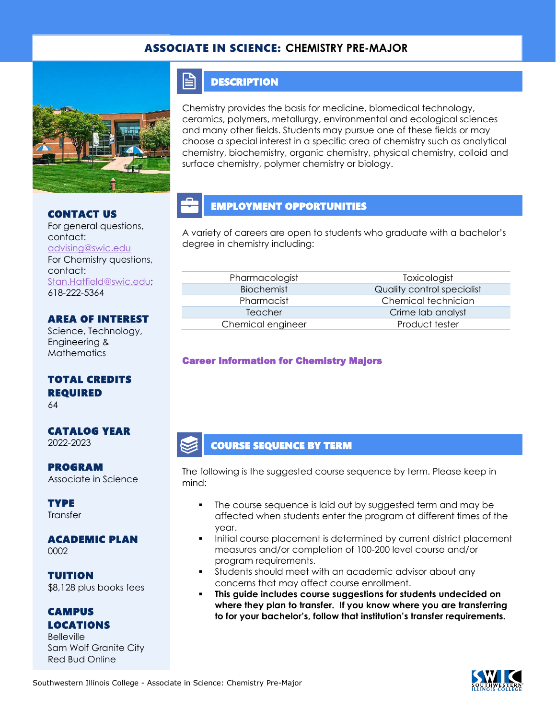#### ASSOCIATE IN SCIENCE: **CHEMISTRY PRE-MAJOR**



#### CONTACT US

For general questions, contact: [advising@swic.edu](mailto:advising@swic.edu) For Chemistry questions, contact: [Stan.Hatfield@swic.edu;](mailto:Stan.Hatfield@swic.edu) 618-222-5364

#### AREA OF INTEREST

Science, Technology, Engineering & **Mathematics** 

### TOTAL CREDITS REQUIRED

64

#### CATALOG YEAR 2022-2023

PROGRAM Associate in Science

**TYPE Transfer** 

# ACADEMIC PLAN

0002

TUITION \$8,128 plus books fees

#### CAMPUS LOCATIONS

**Belleville** Sam Wolf Granite City Red Bud Online

### **DESCRIPTION**

FI

Chemistry provides the basis for medicine, biomedical technology, ceramics, polymers, metallurgy, environmental and ecological sciences and many other fields. Students may pursue one of these fields or may choose a special interest in a specific area of chemistry such as analytical chemistry, biochemistry, organic chemistry, physical chemistry, colloid and surface chemistry, polymer chemistry or biology.

# EMPLOYMENT OPPORTUNITIES

A variety of careers are open to students who graduate with a bachelor's degree in chemistry including:

| Pharmacologist    |
|-------------------|
| Biochemist        |
| Pharmacist        |
| Teacher           |
| Chemical engineer |

**Toxicologist** Quality control specialist Chemical technician Crime lab analyst Product tester

[Career Information for Chemistry Majors](https://www.onetonline.org/find/quick?s=chemistry) 

### COURSE SEQUENCE BY TERM

The following is the suggested course sequence by term. Please keep in mind:

- The course sequence is laid out by suggested term and may be affected when students enter the program at different times of the year.
- Initial course placement is determined by current district placement measures and/or completion of 100-200 level course and/or program requirements.
- **•** Students should meet with an academic advisor about any concerns that may affect course enrollment.
- **This guide includes course suggestions for students undecided on where they plan to transfer. If you know where you are transferring to for your bachelor's, follow that institution's transfer requirements.**